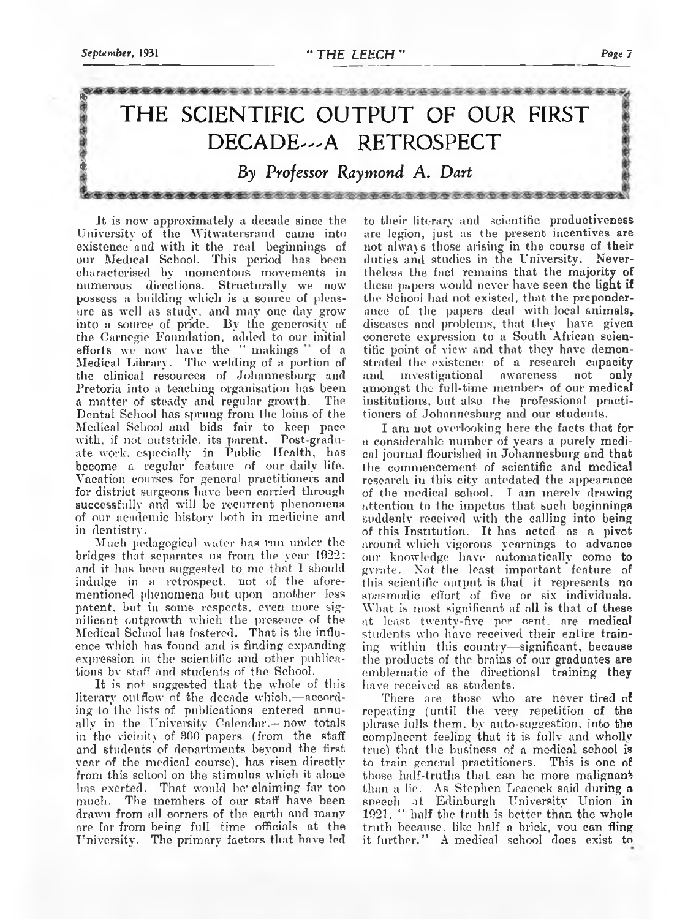

It is now approximately a decade since the University of the Witwares<br>rand cain einclusions of existence and with it the real beginnings of<br>coincided School. This period has been<br>coincerned coincided by momentous movement

to their literary and scientific productiveness are leggion, just as the present incentives are looping to a subset in the converse increase on their the<br>leftes and studies in the Cniversity. Never their the<br>leftes the fi

than a lie. As Stephen Leacock said during a speech at Edinburgh University Union in 1921, " half the truth is better than the whole truth because, like half a brick, vou can fling it further." A medical school does exist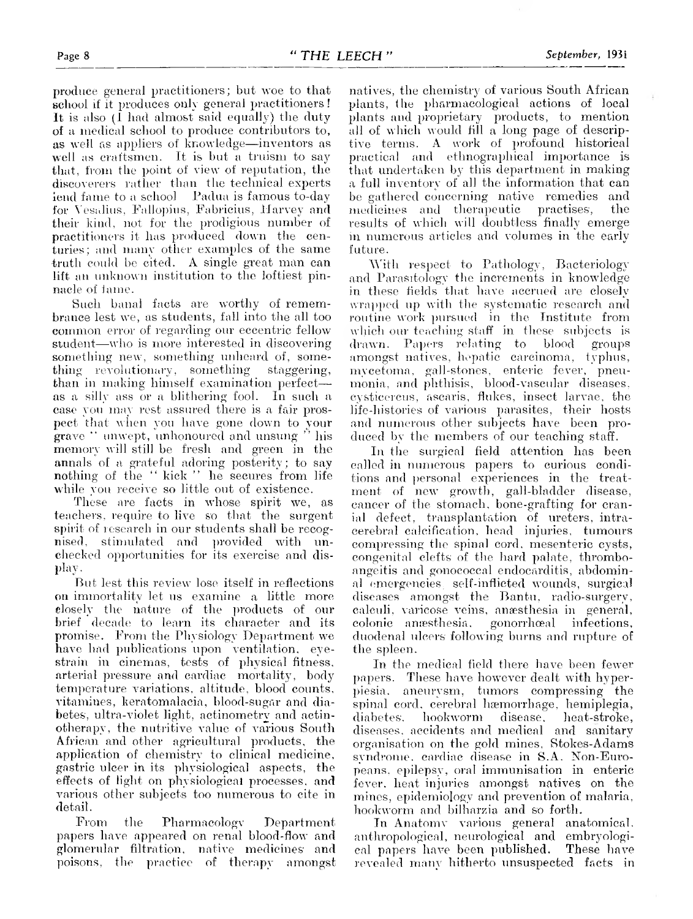produce general practitioners; but woe to that<br>selool if it produces only general practitioners!<br>It is also (I had almost said equally) the duty<br>of a medical school to produce contributors to,<br>as well as eraftsmen. It is b

Such banal facts are worthy of remem-<br>brance lest we, as students, fall into the all too<br>common error of regarding our eccentric fellow<br>student—who is more interested in discovering<br>something new, something unheard of, so

But lest this review lose itself in reflections<br>on immortality let us examine a little more<br>elosely the nature of the products of our<br>brief decade to learn its character and its<br>promise. From the Physiology Department we<br>h

From the Pharmacology Department<br>papers have appeared on renal blood-flow and<br>glomerular filtration, native medicines and<br>poisons, the practice of therapy amongst

natives, the chemistry of various South African<br>plants, the pharmacological actions of local<br>plants and proprietary products, to mention<br>all of which would fill a long page of descrip-<br>tive terms. A work of profound histor

With respect to Pathology, Bacteriology<br>and Parasitology the increments in knowledge<br>in these fields that have accrued are closely<br>wrapped up with the systematic research and<br>routine work pursued in the Institute from<br>whic

In the surgical field attention has been<br>called in numerous papers to curious condi-<br>tions and personal experiences in the treat-<br>ment of new growth, gall-bladder disease,<br>cancer of the stomach, bone-grafting for cran-<br>ial

In the medical field there have been fewer<br>papers. These have however dealt with hyper-<br>piesia. aneurysm, tumors compressing the<br>spinal cord, cerebral hamorrhage, hemiplegia,<br>diabetes. hookworm disease. heat-stroke,<br>diseas